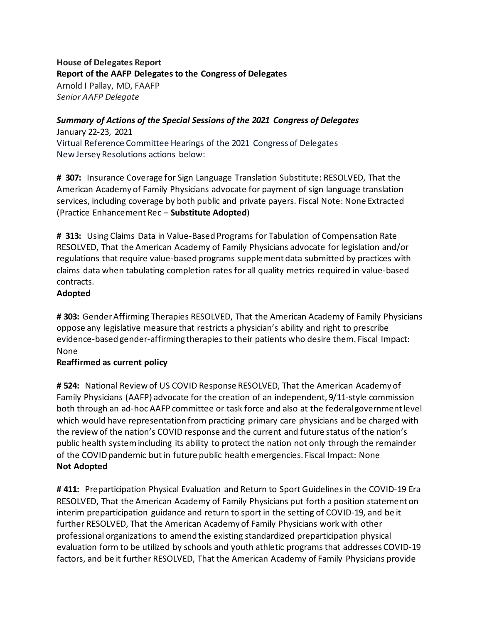## **House of Delegates Report Report of the AAFP Delegates to the Congress of Delegates** Arnold I Pallay, MD, FAAFP *Senior AAFP Delegate*

# *Summary of Actions of the Special Sessions of the 2021 Congress of Delegates*

January 22-23, 2021 Virtual Reference Committee Hearings of the 2021 Congress of Delegates New Jersey Resolutions actions below:

**# 307:** Insurance Coverage for Sign Language Translation Substitute: RESOLVED, That the American Academy of Family Physicians advocate for payment of sign language translation services, including coverage by both public and private payers. Fiscal Note: None Extracted (Practice Enhancement Rec – **Substitute Adopted**)

**# 313:** Using Claims Data in Value-Based Programs for Tabulation of Compensation Rate RESOLVED, That the American Academy of Family Physicians advocate for legislation and/or regulations that require value-based programs supplement data submitted by practices with claims data when tabulating completion rates for all quality metrics required in value-based contracts.

#### **Adopted**

**# 303:** Gender Affirming Therapies RESOLVED, That the American Academy of Family Physicians oppose any legislative measure that restricts a physician's ability and right to prescribe evidence-based gender-affirming therapies to their patients who desire them. Fiscal Impact: None

## **Reaffirmed as current policy**

**# 524:** National Review of US COVID Response RESOLVED, That the American Academy of Family Physicians (AAFP) advocate for the creation of an independent, 9/11-style commission both through an ad-hoc AAFP committee or task force and also at the federal governmentlevel which would have representation from practicing primary care physicians and be charged with the review of the nation's COVID response and the current and future status of the nation's public health system including its ability to protect the nation not only through the remainder of the COVID pandemic but in future public health emergencies. Fiscal Impact: None **Not Adopted**

**# 411:** Preparticipation Physical Evaluation and Return to Sport Guidelines in the COVID-19 Era RESOLVED, That the American Academy of Family Physicians put forth a position statement on interim preparticipation guidance and return to sport in the setting of COVID-19, and be it further RESOLVED, That the American Academy of Family Physicians work with other professional organizations to amend the existing standardized preparticipation physical evaluation form to be utilized by schools and youth athletic programs that addresses COVID-19 factors, and be it further RESOLVED, That the American Academy of Family Physicians provide